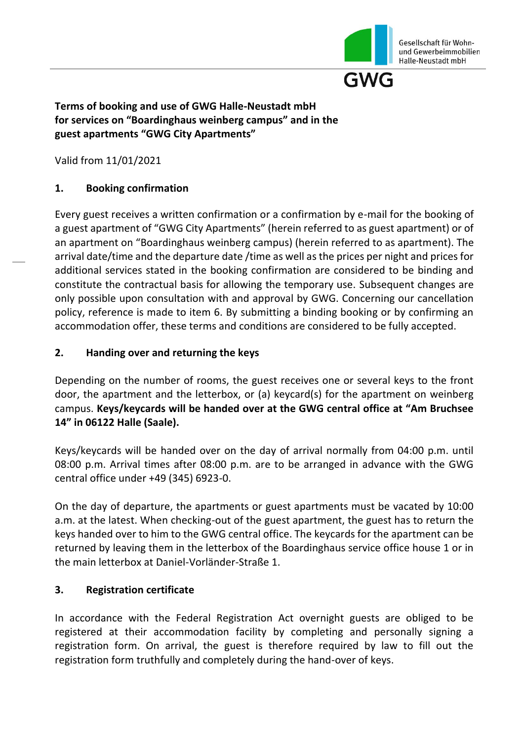

Gesellschaft für Wohnund Gewerbeimmobilien Halle-Neustadt mbH



### **Terms of booking and use of GWG Halle-Neustadt mbH for services on "Boardinghaus weinberg campus" and in the guest apartments "GWG City Apartments"**

Valid from 11/01/2021

### **1. Booking confirmation**

Every guest receives a written confirmation or a confirmation by e-mail for the booking of a guest apartment of "GWG City Apartments" (herein referred to as guest apartment) or of an apartment on "Boardinghaus weinberg campus) (herein referred to as apartment). The arrival date/time and the departure date /time as well as the prices per night and prices for additional services stated in the booking confirmation are considered to be binding and constitute the contractual basis for allowing the temporary use. Subsequent changes are only possible upon consultation with and approval by GWG. Concerning our cancellation policy, reference is made to item 6. By submitting a binding booking or by confirming an accommodation offer, these terms and conditions are considered to be fully accepted.

### **2. Handing over and returning the keys**

Depending on the number of rooms, the guest receives one or several keys to the front door, the apartment and the letterbox, or (a) keycard(s) for the apartment on weinberg campus. **Keys/keycards will be handed over at the GWG central office at "Am Bruchsee 14" in 06122 Halle (Saale).**

Keys/keycards will be handed over on the day of arrival normally from 04:00 p.m. until 08:00 p.m. Arrival times after 08:00 p.m. are to be arranged in advance with the GWG central office under +49 (345) 6923-0.

On the day of departure, the apartments or guest apartments must be vacated by 10:00 a.m. at the latest. When checking-out of the guest apartment, the guest has to return the keys handed over to him to the GWG central office. The keycards for the apartment can be returned by leaving them in the letterbox of the Boardinghaus service office house 1 or in the main letterbox at Daniel-Vorländer-Straße 1.

# **3. Registration certificate**

In accordance with the Federal Registration Act overnight guests are obliged to be registered at their accommodation facility by completing and personally signing a registration form. On arrival, the guest is therefore required by law to fill out the registration form truthfully and completely during the hand-over of keys.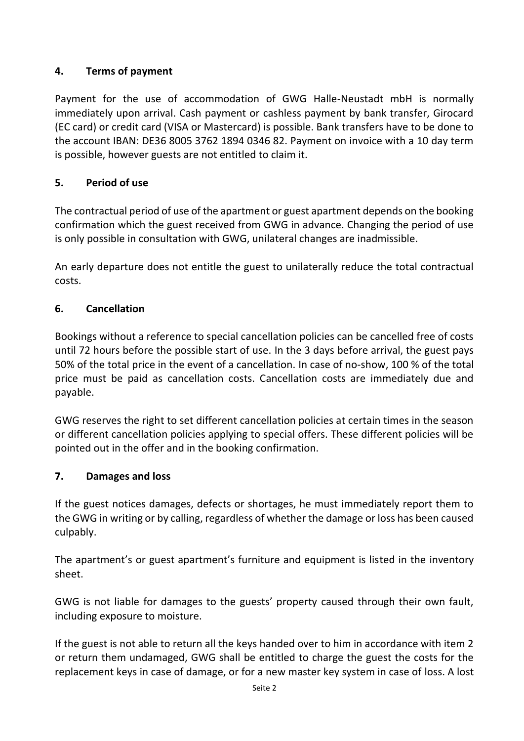### **4. Terms of payment**

Payment for the use of accommodation of GWG Halle-Neustadt mbH is normally immediately upon arrival. Cash payment or cashless payment by bank transfer, Girocard (EC card) or credit card (VISA or Mastercard) is possible. Bank transfers have to be done to the account IBAN: DE36 8005 3762 1894 0346 82. Payment on invoice with a 10 day term is possible, however guests are not entitled to claim it.

## **5. Period of use**

The contractual period of use of the apartment or guest apartment depends on the booking confirmation which the guest received from GWG in advance. Changing the period of use is only possible in consultation with GWG, unilateral changes are inadmissible.

An early departure does not entitle the guest to unilaterally reduce the total contractual costs.

### **6. Cancellation**

Bookings without a reference to special cancellation policies can be cancelled free of costs until 72 hours before the possible start of use. In the 3 days before arrival, the guest pays 50% of the total price in the event of a cancellation. In case of no-show, 100 % of the total price must be paid as cancellation costs. Cancellation costs are immediately due and payable.

GWG reserves the right to set different cancellation policies at certain times in the season or different cancellation policies applying to special offers. These different policies will be pointed out in the offer and in the booking confirmation.

### **7. Damages and loss**

If the guest notices damages, defects or shortages, he must immediately report them to the GWG in writing or by calling, regardless of whether the damage or loss has been caused culpably.

The apartment's or guest apartment's furniture and equipment is listed in the inventory sheet.

GWG is not liable for damages to the guests' property caused through their own fault, including exposure to moisture.

If the guest is not able to return all the keys handed over to him in accordance with item 2 or return them undamaged, GWG shall be entitled to charge the guest the costs for the replacement keys in case of damage, or for a new master key system in case of loss. A lost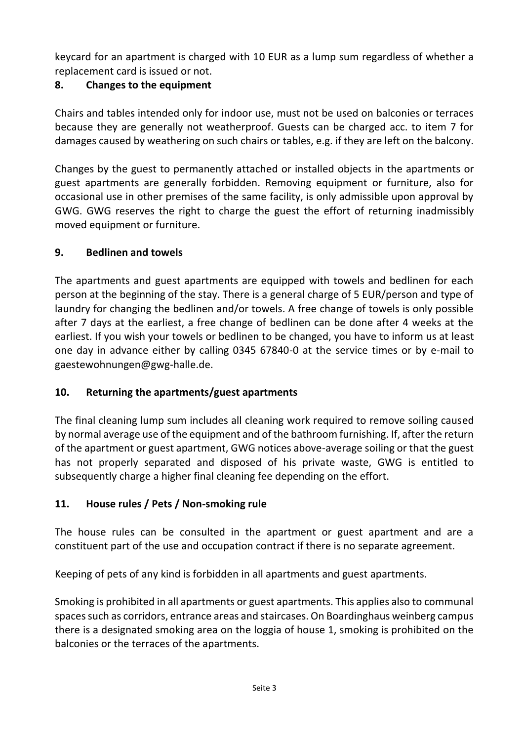keycard for an apartment is charged with 10 EUR as a lump sum regardless of whether a replacement card is issued or not.

## **8. Changes to the equipment**

Chairs and tables intended only for indoor use, must not be used on balconies or terraces because they are generally not weatherproof. Guests can be charged acc. to item 7 for damages caused by weathering on such chairs or tables, e.g. if they are left on the balcony.

Changes by the guest to permanently attached or installed objects in the apartments or guest apartments are generally forbidden. Removing equipment or furniture, also for occasional use in other premises of the same facility, is only admissible upon approval by GWG. GWG reserves the right to charge the guest the effort of returning inadmissibly moved equipment or furniture.

### **9. Bedlinen and towels**

The apartments and guest apartments are equipped with towels and bedlinen for each person at the beginning of the stay. There is a general charge of 5 EUR/person and type of laundry for changing the bedlinen and/or towels. A free change of towels is only possible after 7 days at the earliest, a free change of bedlinen can be done after 4 weeks at the earliest. If you wish your towels or bedlinen to be changed, you have to inform us at least one day in advance either by calling 0345 67840-0 at the service times or by e-mail to gaestewohnungen@gwg-halle.de.

### **10. Returning the apartments/guest apartments**

The final cleaning lump sum includes all cleaning work required to remove soiling caused by normal average use of the equipment and of the bathroom furnishing. If, after the return of the apartment or guest apartment, GWG notices above-average soiling or that the guest has not properly separated and disposed of his private waste, GWG is entitled to subsequently charge a higher final cleaning fee depending on the effort.

### **11. House rules / Pets / Non-smoking rule**

The house rules can be consulted in the apartment or guest apartment and are a constituent part of the use and occupation contract if there is no separate agreement.

Keeping of pets of any kind is forbidden in all apartments and guest apartments.

Smoking is prohibited in all apartments or guest apartments. This applies also to communal spaces such as corridors, entrance areas and staircases. On Boardinghaus weinberg campus there is a designated smoking area on the loggia of house 1, smoking is prohibited on the balconies or the terraces of the apartments.